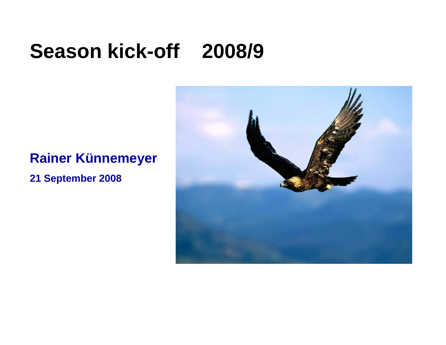# **Season kick-off 2008/9**

#### **Rainer Künnemeyer**

**21 September 2008**

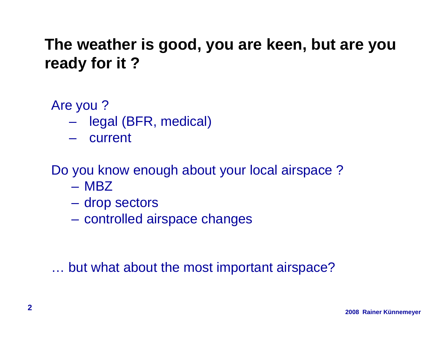#### **The weather is good, you are keen, but are you ready for it ? ready**

Are you ?

- $\mathcal{L}_{\mathcal{A}}$ legal (BFR, medical)
- current

Do you know enough about your local airspace ?

- MBZ
- $\mathcal{L}_{\mathcal{A}}$ drop sectors
- controlled airspace changes

… but what about the most important airspace?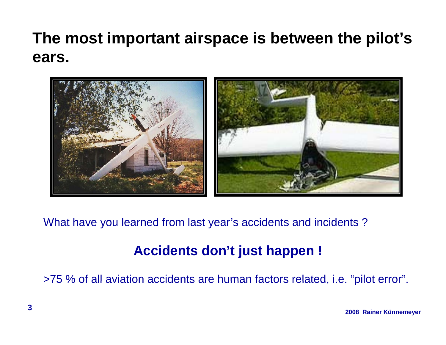## **The most important airspace is between the pilot's ears.**



What have you learned from last year's accidents and incidents ?

#### **Accidents don't just happen !**

>75 % of all aviation accidents are human factors related, i.e. "pilot error" 5 % of all aviation accidents are human factors related, i.e. "pilot error".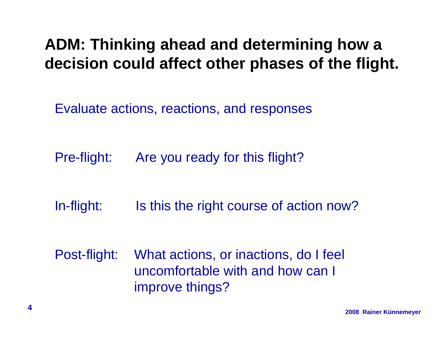#### **ADM: Thinking ahead and determining how a decision could affect other phases of the flight flight.**

Evaluate actions, reactions, and responses

- Pre-flight: Are you ready for this flight?
- In-flight: Is this the right course of action now?
- Post-flight: What actions, or inactions, do I feel uncomfortable with and how can I improve things?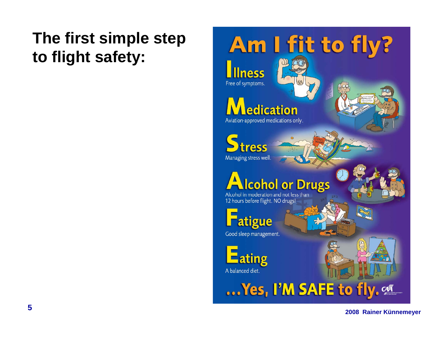## The first simple step to flight safety:

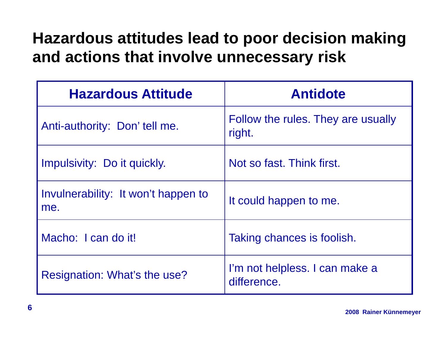## **Hazardous attitudes lead to poor decision making and actions that involve unnecessar y risk**

| <b>Hazardous Attitude</b>                  | <b>Antidote</b>                               |
|--------------------------------------------|-----------------------------------------------|
| Anti-authority: Don'tell me.               | Follow the rules. They are usually<br>right.  |
| Impulsivity: Do it quickly.                | Not so fast. Think first.                     |
| Invulnerability: It won't happen to<br>me. | It could happen to me.                        |
| Macho: I can do it!                        | Taking chances is foolish.                    |
| Resignation: What's the use?               | I'm not helpless. I can make a<br>difference. |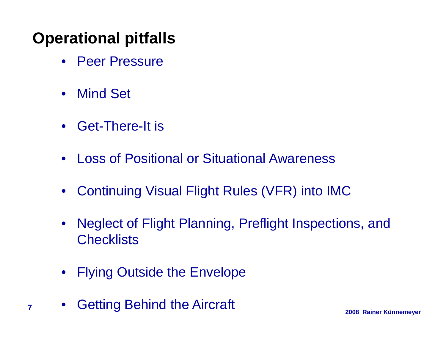#### **Operational pitfalls**

- $\bullet$ Peer Pressure
- $\bullet$ Mind Set
- Get-There-It is
- $\bullet$ Loss of Positional or Situational Awareness
- $\bullet$ Continuing Visual Flight Rules (VFR) into IMC
- $\bullet$  Neglect of Flight Planning, Preflight Inspections, and **Checklists**
- $\bullet$ Flying Outside the Envelope
- **2008 Rainer Künnemeyer <sup>7</sup>** Getting Behind the Aircraft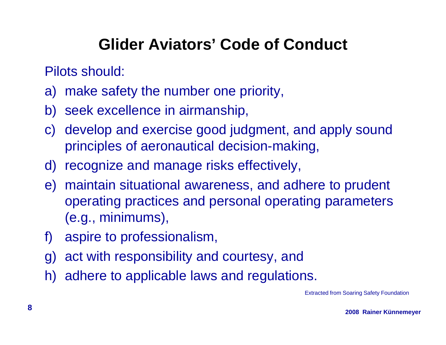#### **Glider Aviators' Code of Conduct**

Pilots should:

- a) make safety the number one priority,
- b) seek excellence in airmanship,
- c) develop and exercise good judgment, and apply sound principles of aeronautical decision-making,
- d) recognize and manage risks effectively,
- e) maintain situational awareness, and adhere to prudent operating practices and personal operating parameters (e.g., minimums),
- f) aspire to professionalism,
- g) act with responsibility and courtesy, and
- h) adhere to applicable laws and regulations.

Extracted from Soaring Safety Foundation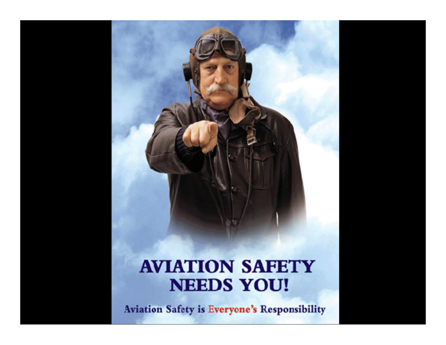#### **AVIATION SAFETY NEEDS YOU!**

**Aviation Safety is Everyone's Responsibility**